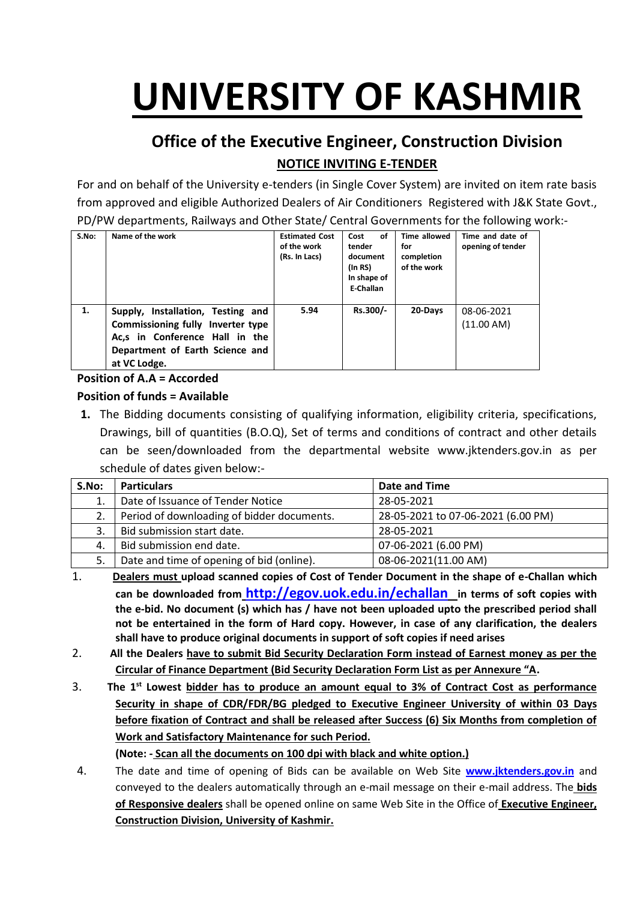# **UNIVERSITY OF KASHMIR**

# **Office of the Executive Engineer, Construction Division NOTICE INVITING E-TENDER**

For and on behalf of the University e-tenders (in Single Cover System) are invited on item rate basis from approved and eligible Authorized Dealers of Air Conditioners Registered with J&K State Govt., PD/PW departments, Railways and Other State/ Central Governments for the following work:-

| S.No: | Name of the work                                                                                                                                            | <b>Estimated Cost</b><br>of the work<br>(Rs. In Lacs) | οf<br>Cost<br>tender<br>document<br>(In RS)<br>In shape of<br>E-Challan | Time allowed<br>for<br>completion<br>of the work | Time and date of<br>opening of tender |
|-------|-------------------------------------------------------------------------------------------------------------------------------------------------------------|-------------------------------------------------------|-------------------------------------------------------------------------|--------------------------------------------------|---------------------------------------|
| 1.    | Supply, Installation, Testing and<br>Commissioning fully Inverter type<br>Ac,s in Conference Hall in the<br>Department of Earth Science and<br>at VC Lodge. | 5.94                                                  | Rs.300/-                                                                | 20-Days                                          | 08-06-2021<br>(11.00 AM)              |

#### **Position of A.A = Accorded**

#### **Position of funds = Available**

**1.** The Bidding documents consisting of qualifying information, eligibility criteria, specifications, Drawings, bill of quantities (B.O.Q), Set of terms and conditions of contract and other details can be seen/downloaded from the departmental website www.jktenders.gov.in as per schedule of dates given below:-

| S.No: | <b>Particulars</b>                         | Date and Time                      |
|-------|--------------------------------------------|------------------------------------|
|       | Date of Issuance of Tender Notice          | 28-05-2021                         |
|       | Period of downloading of bidder documents. | 28-05-2021 to 07-06-2021 (6.00 PM) |
|       | Bid submission start date.                 | 28-05-2021                         |
| 4.    | Bid submission end date.                   | 07-06-2021 (6.00 PM)               |
| 5.    | Date and time of opening of bid (online).  | 08-06-2021(11.00 AM)               |

- 1. **Dealers must upload scanned copies of Cost of Tender Document in the shape of e-Challan which can be downloaded from <http://egov.uok.edu.in/echallan> in terms of soft copies with the e-bid. No document (s) which has / have not been uploaded upto the prescribed period shall not be entertained in the form of Hard copy. However, in case of any clarification, the dealers shall have to produce original documents in support of soft copies if need arises**
- 2. **All the Dealers have to submit Bid Security Declaration Form instead of Earnest money as per the Circular of Finance Department (Bid Security Declaration Form List as per Annexure "A.**
- 3. **The 1st Lowest bidder has to produce an amount equal to 3% of Contract Cost as performance Security in shape of CDR/FDR/BG pledged to Executive Engineer University of within 03 Days before fixation of Contract and shall be released after Success (6) Six Months from completion of Work and Satisfactory Maintenance for such Period.**

**(Note: - Scan all the documents on 100 dpi with black and white option.)**

4. The date and time of opening of Bids can be available on Web Site **[www.jktenders.gov.in](http://www.pmgsytendersjk.gov.in/)** and conveyed to the dealers automatically through an e-mail message on their e-mail address. The **bids of Responsive dealers** shall be opened online on same Web Site in the Office of **Executive Engineer, Construction Division, University of Kashmir.**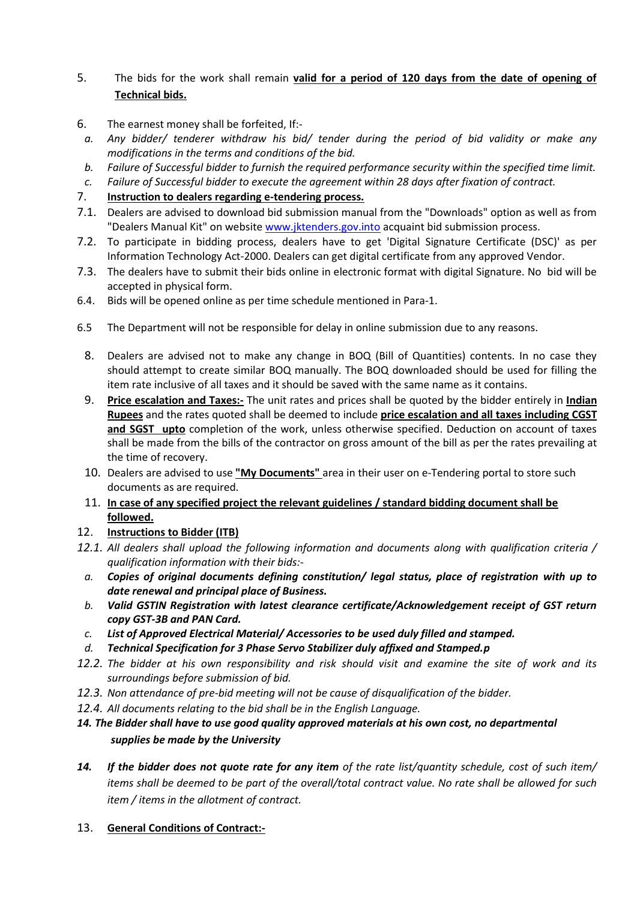#### 5. The bids for the work shall remain **valid for a period of 120 days from the date of opening of Technical bids.**

- 6. The earnest money shall be forfeited, If:-
- *a. Any bidder/ tenderer withdraw his bid/ tender during the period of bid validity or make any modifications in the terms and conditions of the bid.*
- *b. Failure of Successful bidder to furnish the required performance security within the specified time limit.*
- *c. Failure of Successful bidder to execute the agreement within 28 days after fixation of contract.*
- 7. **Instruction to dealers regarding e-tendering process.**
- 7.1. Dealers are advised to download bid submission manual from the "Downloads" option as well as from "Dealers Manual Kit" on website [www.jktenders.gov.into](http://www.pmgsytendersjk.gov.into/) acquaint bid submission process.
- 7.2. To participate in bidding process, dealers have to get 'Digital Signature Certificate (DSC)' as per Information Technology Act-2000. Dealers can get digital certificate from any approved Vendor.
- 7.3. The dealers have to submit their bids online in electronic format with digital Signature. No bid will be accepted in physical form.
- 6.4. Bids will be opened online as per time schedule mentioned in Para-1.
- 6.5 The Department will not be responsible for delay in online submission due to any reasons.
	- 8. Dealers are advised not to make any change in BOQ (Bill of Quantities) contents. In no case they should attempt to create similar BOQ manually. The BOQ downloaded should be used for filling the item rate inclusive of all taxes and it should be saved with the same name as it contains.
	- 9. **Price escalation and Taxes:-** The unit rates and prices shall be quoted by the bidder entirely in **Indian Rupees** and the rates quoted shall be deemed to include **price escalation and all taxes including CGST and SGST upto** completion of the work, unless otherwise specified. Deduction on account of taxes shall be made from the bills of the contractor on gross amount of the bill as per the rates prevailing at the time of recovery.
	- 10. Dealers are advised to use **"My Documents"** area in their user on e-Tendering portal to store such documents as are required.
	- 11. **In case of any specified project the relevant guidelines / standard bidding document shall be followed.**

#### 12. **Instructions to Bidder (ITB)**

- *12.1. All dealers shall upload the following information and documents along with qualification criteria / qualification information with their bids:*
	- *a. Copies of original documents defining constitution/ legal status, place of registration with up to date renewal and principal place of Business.*
	- *b. Valid GSTIN Registration with latest clearance certificate/Acknowledgement receipt of GST return copy GST-3B and PAN Card.*
	- *c. List of Approved Electrical Material/ Accessories to be used duly filled and stamped.*
- *d. Technical Specification for 3 Phase Servo Stabilizer duly affixed and Stamped.p*
- *12.2. The bidder at his own responsibility and risk should visit and examine the site of work and its surroundings before submission of bid.*
- *12.3. Non attendance of pre-bid meeting will not be cause of disqualification of the bidder.*
- *12.4. All documents relating to the bid shall be in the English Language.*
- *14. The Bidder shall have to use good quality approved materials at his own cost, no departmental supplies be made by the University*
- *14. If the bidder does not quote rate for any item of the rate list/quantity schedule, cost of such item/ items shall be deemed to be part of the overall/total contract value. No rate shall be allowed for such item / items in the allotment of contract.*
- 13. **General Conditions of Contract:-**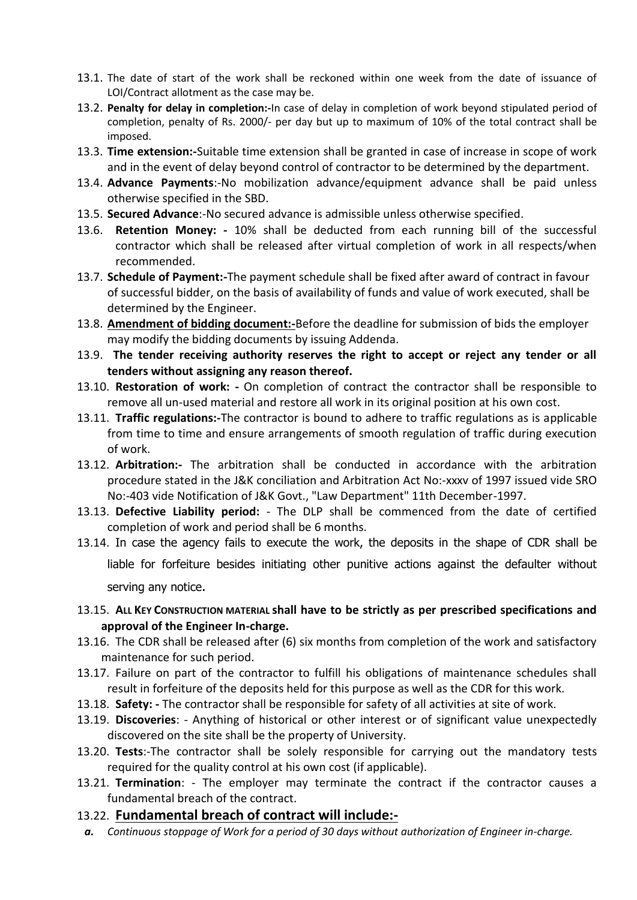- 13.1. The date of start of the work shall be reckoned within one week from the date of issuance of LOI/Contract allotment as the case may be.
- 13.2. **Penalty for delay in completion:-**In case of delay in completion of work beyond stipulated period of completion, penalty of Rs. 2000/- per day but up to maximum of 10% of the total contract shall be imposed.
- 13.3. **Time extension:-**Suitable time extension shall be granted in case of increase in scope of work and in the event of delay beyond control of contractor to be determined by the department.
- 13.4. **Advance Payments**:-No mobilization advance/equipment advance shall be paid unless otherwise specified in the SBD.
- 13.5. **Secured Advance**:-No secured advance is admissible unless otherwise specified.
- 13.6. **Retention Money: -** 10% shall be deducted from each running bill of the successful contractor which shall be released after virtual completion of work in all respects/when recommended.
- 13.7. **Schedule of Payment:-**The payment schedule shall be fixed after award of contract in favour of successful bidder, on the basis of availability of funds and value of work executed, shall be determined by the Engineer.
- 13.8. **Amendment of bidding document:-**Before the deadline for submission of bids the employer may modify the bidding documents by issuing Addenda.
- 13.9. **The tender receiving authority reserves the right to accept or reject any tender or all tenders without assigning any reason thereof.**
- 13.10. **Restoration of work: -** On completion of contract the contractor shall be responsible to remove all un-used material and restore all work in its original position at his own cost.
- 13.11. **Traffic regulations:-**The contractor is bound to adhere to traffic regulations as is applicable from time to time and ensure arrangements of smooth regulation of traffic during execution of work.
- 13.12. **Arbitration:-** The arbitration shall be conducted in accordance with the arbitration procedure stated in the J&K conciliation and Arbitration Act No:-xxxv of 1997 issued vide SRO No:-403 vide Notification of J&K Govt., "Law Department" 11th December-1997.
- 13.13. **Defective Liability period:** The DLP shall be commenced from the date of certified completion of work and period shall be 6 months.
- 13.14. In case the agency fails to execute the work, the deposits in the shape of CDR shall be liable for forfeiture besides initiating other punitive actions against the defaulter without serving any notice.
- 13.15. **ALL KEY CONSTRUCTION MATERIAL shall have to be strictly as per prescribed specifications and approval of the Engineer In-charge.**
- 13.16. The CDR shall be released after (6) six months from completion of the work and satisfactory maintenance for such period.
- 13.17. Failure on part of the contractor to fulfill his obligations of maintenance schedules shall result in forfeiture of the deposits held for this purpose as well as the CDR for this work.
- 13.18. **Safety: -** The contractor shall be responsible for safety of all activities at site of work.
- 13.19. **Discoveries**: Anything of historical or other interest or of significant value unexpectedly discovered on the site shall be the property of University.
- 13.20. **Tests**:-The contractor shall be solely responsible for carrying out the mandatory tests required for the quality control at his own cost (if applicable).
- 13.21. **Termination**: The employer may terminate the contract if the contractor causes a fundamental breach of the contract.

#### 13.22. **Fundamental breach of contract will include:-**

*a. Continuous stoppage of Work for a period of 30 days without authorization of Engineer in-charge.*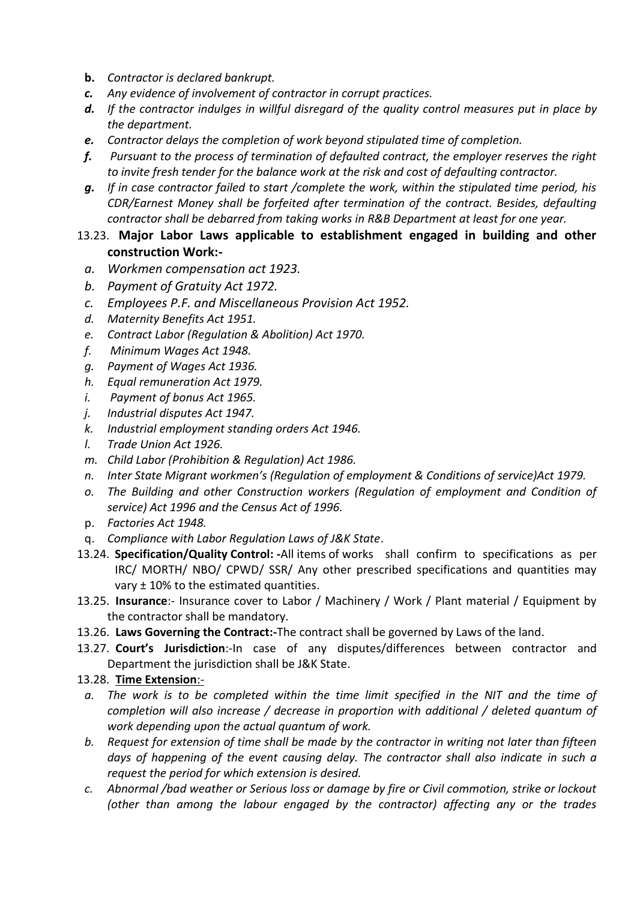- **b.** *Contractor is declared bankrupt.*
- *c. Any evidence of involvement of contractor in corrupt practices.*
- *d. If the contractor indulges in willful disregard of the quality control measures put in place by the department.*
- *e. Contractor delays the completion of work beyond stipulated time of completion.*
- *f. Pursuant to the process of termination of defaulted contract, the employer reserves the right to invite fresh tender for the balance work at the risk and cost of defaulting contractor.*
- *g. If in case contractor failed to start /complete the work, within the stipulated time period, his CDR/Earnest Money shall be forfeited after termination of the contract. Besides, defaulting contractor shall be debarred from taking works in R&B Department at least for one year.*

#### 13.23. **Major Labor Laws applicable to establishment engaged in building and other construction Work:-**

- *a. Workmen compensation act 1923.*
- *b. Payment of Gratuity Act 1972.*
- *c. Employees P.F. and Miscellaneous Provision Act 1952.*
- *d. Maternity Benefits Act 1951.*
- *e. Contract Labor (Regulation & Abolition) Act 1970.*
- *f. Minimum Wages Act 1948.*
- *g. Payment of Wages Act 1936.*
- *h. Equal remuneration Act 1979.*
- *i. Payment of bonus Act 1965.*
- *j. Industrial disputes Act 1947.*
- *k. Industrial employment standing orders Act 1946.*
- *l. Trade Union Act 1926.*
- *m. Child Labor (Prohibition & Regulation) Act 1986.*
- *n. Inter State Migrant workmen's (Regulation of employment & Conditions of service)Act 1979.*
- *o. The Building and other Construction workers (Regulation of employment and Condition of service) Act 1996 and the Census Act of 1996.*
- p. *Factories Act 1948.*
- q. *Compliance with Labor Regulation Laws of J&K State*.
- 13.24. **Specification/Quality Control: -**All items of works shall confirm to specifications as per IRC/ MORTH/ NBO/ CPWD/ SSR/ Any other prescribed specifications and quantities may vary ± 10% to the estimated quantities.
- 13.25. **Insurance**:- Insurance cover to Labor / Machinery / Work / Plant material / Equipment by the contractor shall be mandatory.
- 13.26. **Laws Governing the Contract:-**The contract shall be governed by Laws of the land.
- 13.27. **Court's Jurisdiction**:-In case of any disputes/differences between contractor and Department the jurisdiction shall be J&K State.
- 13.28. **Time Extension**:-
- *a. The work is to be completed within the time limit specified in the NIT and the time of completion will also increase / decrease in proportion with additional / deleted quantum of work depending upon the actual quantum of work.*
- *b. Request for extension of time shall be made by the contractor in writing not later than fifteen days of happening of the event causing delay. The contractor shall also indicate in such a request the period for which extension is desired.*
- *c. Abnormal /bad weather or Serious loss or damage by fire or Civil commotion, strike or lockout (other than among the labour engaged by the contractor) affecting any or the trades*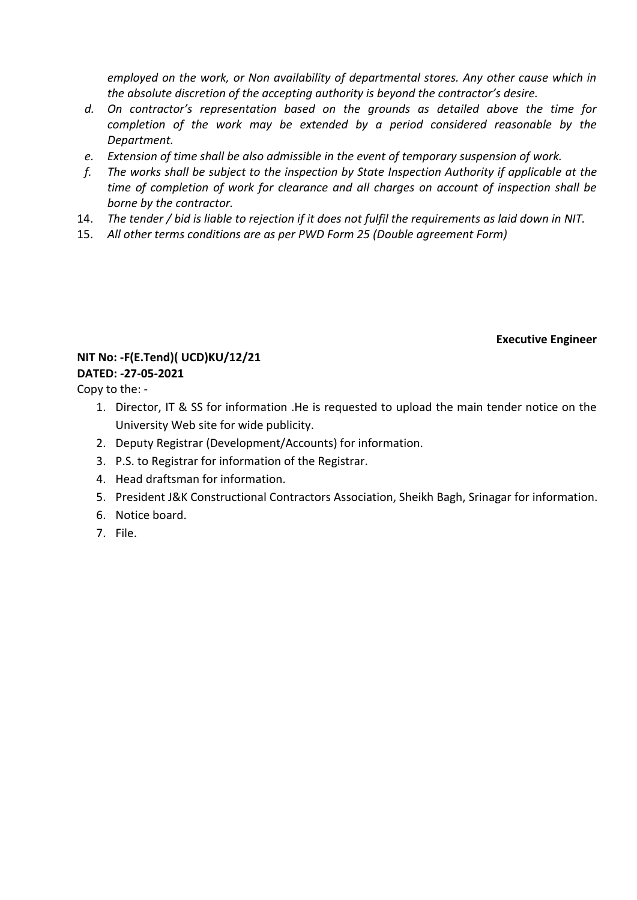*employed on the work, or Non availability of departmental stores. Any other cause which in the absolute discretion of the accepting authority is beyond the contractor's desire.*

- *d. On contractor's representation based on the grounds as detailed above the time for completion of the work may be extended by a period considered reasonable by the Department.*
- *e. Extension of time shall be also admissible in the event of temporary suspension of work.*
- *f. The works shall be subject to the inspection by State Inspection Authority if applicable at the time of completion of work for clearance and all charges on account of inspection shall be borne by the contractor.*
- 14. *The tender / bid is liable to rejection if it does not fulfil the requirements as laid down in NIT.*
- 15. *All other terms conditions are as per PWD Form 25 (Double agreement Form)*

**Executive Engineer**

### **NIT No: -F(E.Tend)( UCD)KU/12/21**

**DATED: -27-05-2021** Copy to the: -

- 1. Director, IT & SS for information .He is requested to upload the main tender notice on the University Web site for wide publicity.
- 2. Deputy Registrar (Development/Accounts) for information.
- 3. P.S. to Registrar for information of the Registrar.
- 4. Head draftsman for information.
- 5. President J&K Constructional Contractors Association, Sheikh Bagh, Srinagar for information.
- 6. Notice board.
- 7. File.